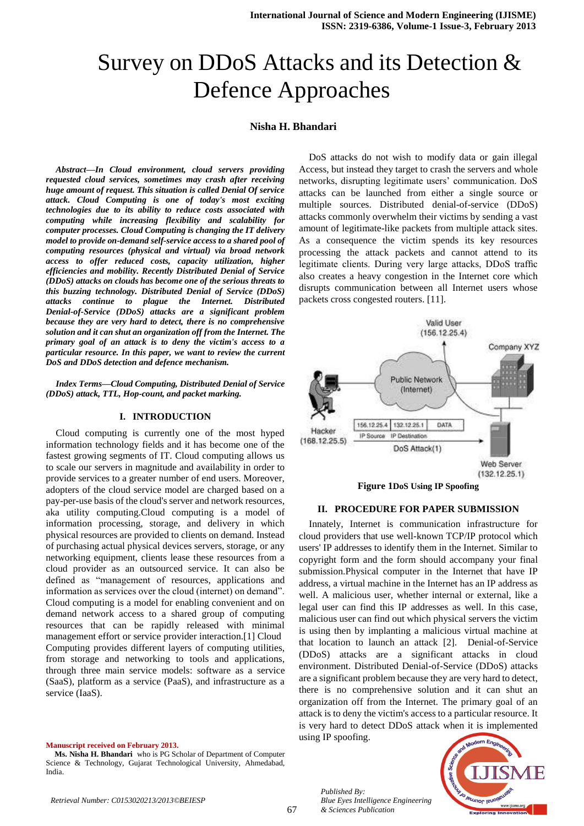# Survey on DDoS Attacks and its Detection & Defence Approaches

# **Nisha H. Bhandari**

*Abstract***—***In Cloud environment, cloud servers providing requested cloud services, sometimes may crash after receiving huge amount of request. This situation is called Denial Of service attack. Cloud Computing is one of today's most exciting technologies due to its ability to reduce costs associated with computing while increasing flexibility and scalability for computer processes. Cloud Computing is changing the IT delivery model to provide on-demand self-service access to a shared pool of computing resources (physical and virtual) via broad network access to offer reduced costs, capacity utilization, higher efficiencies and mobility. Recently Distributed Denial of Service (DDoS) attacks on clouds has become one of the serious threats to this buzzing technology. Distributed Denial of Service (DDoS) attacks continue to plague the Internet. Distributed Denial-of-Service (DDoS) attacks are a significant problem because they are very hard to detect, there is no comprehensive solution and it can shut an organization off from the Internet. The primary goal of an attack is to deny the victim's access to a particular resource. In this paper, we want to review the current DoS and DDoS detection and defence mechanism.*

*Index Terms***—***Cloud Computing, Distributed Denial of Service (DDoS) attack, TTL, Hop-count, and packet marking.*

# **I. INTRODUCTION**

Cloud computing is currently one of the most hyped information technology fields and it has become one of the fastest growing segments of IT. Cloud computing allows us to scale our servers in magnitude and availability in order to provide services to a greater number of end users. Moreover, adopters of the cloud service model are charged based on a pay-per-use basis of the cloud's server and network resources, aka utility computing.Cloud computing is a model of information processing, storage, and delivery in which physical resources are provided to clients on demand. Instead of purchasing actual physical devices servers, storage, or any networking equipment, clients lease these resources from a cloud provider as an outsourced service. It can also be defined as "management of resources, applications and information as services over the cloud (internet) on demand". Cloud computing is a model for enabling convenient and on demand network access to a shared group of computing resources that can be rapidly released with minimal management effort or service provider interaction.[1] Cloud Computing provides different layers of computing utilities, from storage and networking to tools and applications, through three main service models: software as a service (SaaS), platform as a service (PaaS), and infrastructure as a service (IaaS).

#### **Manuscript received on February 2013.**

**Ms. Nisha H. Bhandari** who is PG Scholar of Department of Computer Science & Technology, Gujarat Technological University, Ahmedabad, India.

DoS attacks do not wish to modify data or gain illegal Access, but instead they target to crash the servers and whole networks, disrupting legitimate users' communication. DoS attacks can be launched from either a single source or multiple sources. Distributed denial-of-service (DDoS) attacks commonly overwhelm their victims by sending a vast amount of legitimate-like packets from multiple attack sites. As a consequence the victim spends its key resources processing the attack packets and cannot attend to its legitimate clients. During very large attacks, DDoS traffic also creates a heavy congestion in the Internet core which disrupts communication between all Internet users whose packets cross congested routers. [11].



# **II. PROCEDURE FOR PAPER SUBMISSION**

Innately, Internet is communication infrastructure for cloud providers that use well-known TCP/IP protocol which users' IP addresses to identify them in the Internet. Similar to copyright form and the form should accompany your final submission.Physical computer in the Internet that have IP address, a virtual machine in the Internet has an IP address as well. A malicious user, whether internal or external, like a legal user can find this IP addresses as well. In this case, malicious user can find out which physical servers the victim is using then by implanting a malicious virtual machine at that location to launch an attack [2]. Denial-of-Service (DDoS) attacks are a significant attacks in cloud environment. Distributed Denial-of-Service (DDoS) attacks are a significant problem because they are very hard to detect, there is no comprehensive solution and it can shut an organization off from the Internet. The primary goal of an attack is to deny the victim's access to a particular resource. It is very hard to detect DDoS attack when it is implemented using IP spoofing.



*Published By:*

*& Sciences Publication* 

*Blue Eyes Intelligence Engineering*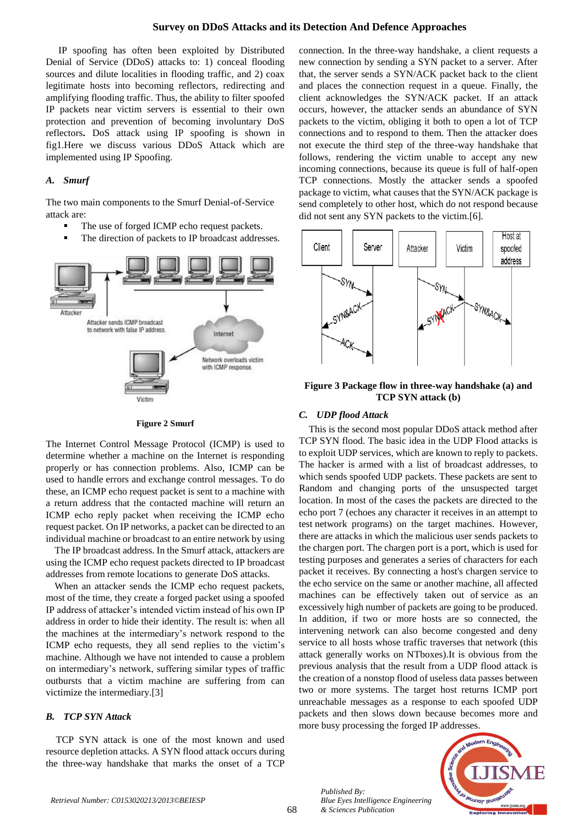# **Survey on DDoS Attacks and its Detection And Defence Approaches**

IP spoofing has often been exploited by Distributed Denial of Service (DDoS) attacks to: 1) conceal flooding sources and dilute localities in flooding traffic, and 2) coax legitimate hosts into becoming reflectors, redirecting and amplifying flooding traffic. Thus, the ability to filter spoofed IP packets near victim servers is essential to their own protection and prevention of becoming involuntary DoS reflectors**.** DoS attack using IP spoofing is shown in fig1.Here we discuss various DDoS Attack which are implemented using IP Spoofing.

# *A. Smurf*

The two main components to the Smurf Denial-of-Service attack are:

- The use of forged ICMP echo request packets.
- The direction of packets to IP broadcast addresses.



#### **Figure 2 Smurf**

The Internet Control Message Protocol (ICMP) is used to determine whether a machine on the Internet is responding properly or has connection problems. Also, ICMP can be used to handle errors and exchange control messages. To do these, an ICMP echo request packet is sent to a machine with a return address that the contacted machine will return an ICMP echo reply packet when receiving the ICMP echo request packet. On IP networks, a packet can be directed to an individual machine or broadcast to an entire network by using

The IP broadcast address. In the Smurf attack, attackers are using the ICMP echo request packets directed to IP broadcast addresses from remote locations to generate DoS attacks.

When an attacker sends the ICMP echo request packets, most of the time, they create a forged packet using a spoofed IP address of attacker's intended victim instead of his own IP address in order to hide their identity. The result is: when all the machines at the intermediary's network respond to the ICMP echo requests, they all send replies to the victim's machine. Although we have not intended to cause a problem on intermediary's network, suffering similar types of traffic outbursts that a victim machine are suffering from can victimize the intermediary.[3]

# *B. TCP SYN Attack*

TCP SYN attack is one of the most known and used resource depletion attacks. A SYN flood attack occurs during the three-way handshake that marks the onset of a TCP connection. In the three-way handshake, a client requests a new connection by sending a SYN packet to a server. After that, the server sends a SYN/ACK packet back to the client and places the connection request in a queue. Finally, the client acknowledges the SYN/ACK packet. If an attack occurs, however, the attacker sends an abundance of SYN packets to the victim, obliging it both to open a lot of TCP connections and to respond to them. Then the attacker does not execute the third step of the three-way handshake that follows, rendering the victim unable to accept any new incoming connections, because its queue is full of half-open TCP connections. Mostly the attacker sends a spoofed package to victim, what causes that the SYN/ACK package is send completely to other host, which do not respond because did not sent any SYN packets to the victim.[6].



# **Figure 3 Package flow in three-way handshake (a) and TCP SYN attack (b)**

# *C. UDP flood Attack*

This is the second most popular DDoS attack method after TCP SYN flood. The basic idea in the UDP Flood attacks is to exploit UDP services, which are known to reply to packets. The hacker is armed with a list of broadcast addresses, to which sends spoofed UDP packets. These packets are sent to Random and changing ports of the unsuspected target location. In most of the cases the packets are directed to the echo port 7 (echoes any character it receives in an attempt to test network programs) on the target machines. However, there are attacks in which the malicious user sends packets to the chargen port. The chargen port is a port, which is used for testing purposes and generates a series of characters for each packet it receives. By connecting a host's chargen service to the echo service on the same or another machine, all affected machines can be effectively taken out of service as an excessively high number of packets are going to be produced. In addition, if two or more hosts are so connected, the intervening network can also become congested and deny service to all hosts whose traffic traverses that network (this attack generally works on NTboxes).It is obvious from the previous analysis that the result from a UDP flood attack is the creation of a nonstop flood of useless data passes between two or more systems. The target host returns ICMP port unreachable messages as a response to each spoofed UDP packets and then slows down because becomes more and more busy processing the forged IP addresses.



*Published By:*

*& Sciences Publication* 

*Blue Eyes Intelligence Engineering*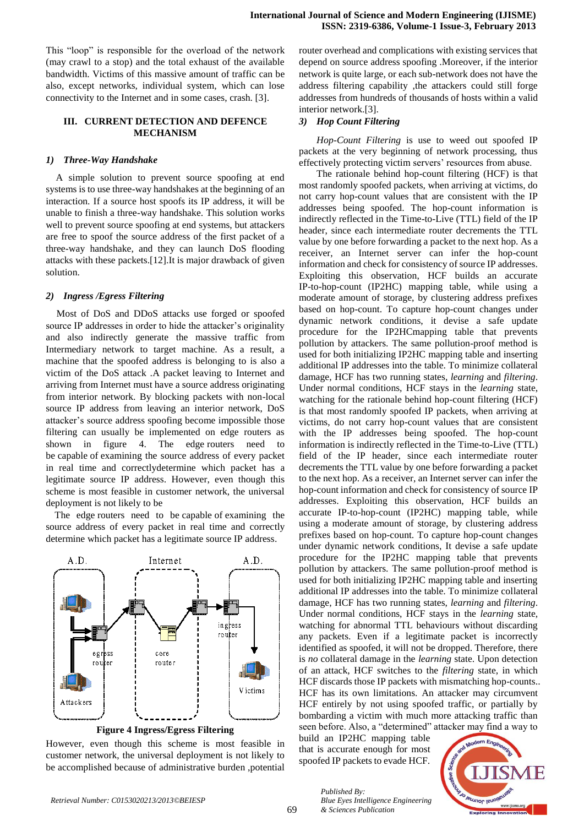This "loop" is responsible for the overload of the network (may crawl to a stop) and the total exhaust of the available bandwidth. Victims of this massive amount of traffic can be also, except networks, individual system, which can lose connectivity to the Internet and in some cases, crash. [3].

# **III. CURRENT DETECTION AND DEFENCE MECHANISM**

#### *1) Three-Way Handshake*

A simple solution to prevent source spoofing at end systems is to use three-way handshakes at the beginning of an interaction. If a source host spoofs its IP address, it will be unable to finish a three-way handshake. This solution works well to prevent source spoofing at end systems, but attackers are free to spoof the source address of the first packet of a three-way handshake, and they can launch DoS flooding attacks with these packets.[12].It is major drawback of given solution.

#### *2) Ingress /Egress Filtering*

Most of DoS and DDoS attacks use forged or spoofed source IP addresses in order to hide the attacker's originality and also indirectly generate the massive traffic from Intermediary network to target machine. As a result, a machine that the spoofed address is belonging to is also a victim of the DoS attack .A packet leaving to Internet and arriving from Internet must have a source address originating from interior network. By blocking packets with non-local source IP address from leaving an interior network, DoS attacker's source address spoofing become impossible those filtering can usually be implemented on edge routers as shown in figure 4. The edge routers need to be capable of examining the source address of every packet in real time and correctlydetermine which packet has a legitimate source IP address. However, even though this scheme is most feasible in customer network, the universal deployment is not likely to be

The edge routers need to be capable of examining the source address of every packet in real time and correctly determine which packet has a legitimate source IP address.



**Figure 4 Ingress/Egress Filtering**

However, even though this scheme is most feasible in customer network, the universal deployment is not likely to be accomplished because of administrative burden ,potential router overhead and complications with existing services that depend on source address spoofing .Moreover, if the interior network is quite large, or each sub-network does not have the address filtering capability ,the attackers could still forge addresses from hundreds of thousands of hosts within a valid interior network.[3].

### *3) Hop Count Filtering*

*Hop-Count Filtering* is use to weed out spoofed IP packets at the very beginning of network processing, thus effectively protecting victim servers' resources from abuse.

The rationale behind hop-count filtering (HCF) is that most randomly spoofed packets, when arriving at victims, do not carry hop-count values that are consistent with the IP addresses being spoofed. The hop-count information is indirectly reflected in the Time-to-Live (TTL) field of the IP header, since each intermediate router decrements the TTL value by one before forwarding a packet to the next hop. As a receiver, an Internet server can infer the hop-count information and check for consistency of source IP addresses. Exploiting this observation, HCF builds an accurate IP-to-hop-count (IP2HC) mapping table, while using a moderate amount of storage, by clustering address prefixes based on hop-count. To capture hop-count changes under dynamic network conditions, it devise a safe update procedure for the IP2HCmapping table that prevents pollution by attackers. The same pollution-proof method is used for both initializing IP2HC mapping table and inserting additional IP addresses into the table. To minimize collateral damage, HCF has two running states, *learning* and *filtering*. Under normal conditions, HCF stays in the *learning* state, watching for the rationale behind hop-count filtering (HCF) is that most randomly spoofed IP packets, when arriving at victims, do not carry hop-count values that are consistent with the IP addresses being spoofed. The hop-count information is indirectly reflected in the Time-to-Live (TTL) field of the IP header, since each intermediate router decrements the TTL value by one before forwarding a packet to the next hop. As a receiver, an Internet server can infer the hop-count information and check for consistency of source IP addresses. Exploiting this observation, HCF builds an accurate IP-to-hop-count (IP2HC) mapping table, while using a moderate amount of storage, by clustering address prefixes based on hop-count. To capture hop-count changes under dynamic network conditions, It devise a safe update procedure for the IP2HC mapping table that prevents pollution by attackers. The same pollution-proof method is used for both initializing IP2HC mapping table and inserting additional IP addresses into the table. To minimize collateral damage, HCF has two running states, *learning* and *filtering*. Under normal conditions, HCF stays in the *learning* state, watching for abnormal TTL behaviours without discarding any packets. Even if a legitimate packet is incorrectly identified as spoofed, it will not be dropped. Therefore, there is *no* collateral damage in the *learning* state. Upon detection of an attack, HCF switches to the *filtering* state, in which HCF discards those IP packets with mismatching hop-counts.. HCF has its own limitations. An attacker may circumvent HCF entirely by not using spoofed traffic, or partially by bombarding a victim with much more attacking traffic than seen before. Also, a "determined" attacker may find a way to

build an IP2HC mapping table that is accurate enough for most spoofed IP packets to evade HCF.

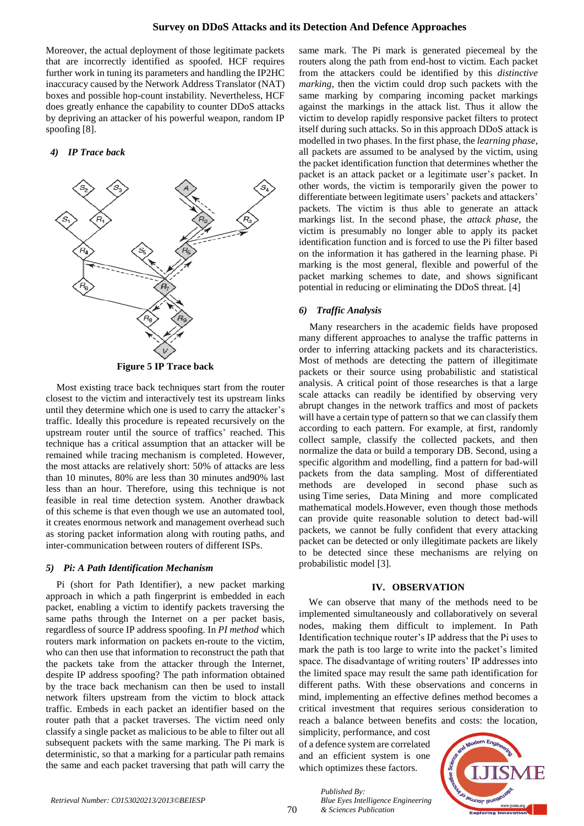Moreover, the actual deployment of those legitimate packets that are incorrectly identified as spoofed. HCF requires further work in tuning its parameters and handling the IP2HC inaccuracy caused by the Network Address Translator (NAT) boxes and possible hop-count instability. Nevertheless, HCF does greatly enhance the capability to counter DDoS attacks by depriving an attacker of his powerful weapon, random IP spoofing [8].

#### *4) IP Trace back*



**Figure 5 IP Trace back**

Most existing trace back techniques start from the router closest to the victim and interactively test its upstream links until they determine which one is used to carry the attacker's traffic. Ideally this procedure is repeated recursively on the upstream router until the source of traffics' reached. This technique has a critical assumption that an attacker will be remained while tracing mechanism is completed. However, the most attacks are relatively short: 50% of attacks are less than 10 minutes, 80% are less than 30 minutes and90% last less than an hour. Therefore, using this technique is not feasible in real time detection system. Another drawback of this scheme is that even though we use an automated tool, it creates enormous network and management overhead such as storing packet information along with routing paths, and inter-communication between routers of different ISPs.

#### *5) Pi: A Path Identification Mechanism*

Pi (short for Path Identifier), a new packet marking approach in which a path fingerprint is embedded in each packet, enabling a victim to identify packets traversing the same paths through the Internet on a per packet basis, regardless of source IP address spoofing. In *PI method* which routers mark information on packets en-route to the victim, who can then use that information to reconstruct the path that the packets take from the attacker through the Internet, despite IP address spoofing? The path information obtained by the trace back mechanism can then be used to install network filters upstream from the victim to block attack traffic. Embeds in each packet an identifier based on the router path that a packet traverses. The victim need only classify a single packet as malicious to be able to filter out all subsequent packets with the same marking. The Pi mark is deterministic, so that a marking for a particular path remains the same and each packet traversing that path will carry the

same mark. The Pi mark is generated piecemeal by the routers along the path from end-host to victim. Each packet from the attackers could be identified by this *distinctive marking*, then the victim could drop such packets with the same marking by comparing incoming packet markings against the markings in the attack list. Thus it allow the victim to develop rapidly responsive packet filters to protect itself during such attacks. So in this approach DDoS attack is modelled in two phases. In the first phase, the *learning phase*, all packets are assumed to be analysed by the victim, using the packet identification function that determines whether the packet is an attack packet or a legitimate user's packet. In other words, the victim is temporarily given the power to differentiate between legitimate users' packets and attackers' packets. The victim is thus able to generate an attack markings list. In the second phase, the *attack phase*, the victim is presumably no longer able to apply its packet identification function and is forced to use the Pi filter based on the information it has gathered in the learning phase. Pi marking is the most general, flexible and powerful of the packet marking schemes to date, and shows significant potential in reducing or eliminating the DDoS threat. [4]

#### *6) Traffic Analysis*

Many researchers in the academic fields have proposed many different approaches to analyse the traffic patterns in order to inferring attacking packets and its characteristics. Most of methods are detecting the pattern of illegitimate packets or their source using probabilistic and statistical analysis. A critical point of those researches is that a large scale attacks can readily be identified by observing very abrupt changes in the network traffics and most of packets will have a certain type of pattern so that we can classify them according to each pattern. For example, at first, randomly collect sample, classify the collected packets, and then normalize the data or build a temporary DB. Second, using a specific algorithm and modelling, find a pattern for bad-will packets from the data sampling. Most of differentiated methods are developed in second phase such as using Time series, Data Mining and more complicated mathematical models.However, even though those methods can provide quite reasonable solution to detect bad-will packets, we cannot be fully confident that every attacking packet can be detected or only illegitimate packets are likely to be detected since these mechanisms are relying on probabilistic model [3].

### **IV. OBSERVATION**

We can observe that many of the methods need to be implemented simultaneously and collaboratively on several nodes, making them difficult to implement. In Path Identification technique router's IP address that the Pi uses to mark the path is too large to write into the packet's limited space. The disadvantage of writing routers' IP addresses into the limited space may result the same path identification for different paths. With these observations and concerns in mind, implementing an effective defines method becomes a critical investment that requires serious consideration to reach a balance between benefits and costs: the location,

simplicity, performance, and cost of a defence system are correlated and an efficient system is one which optimizes these factors.

*Blue Eyes Intelligence Engineering* 

*Published By:*

*& Sciences Publication*